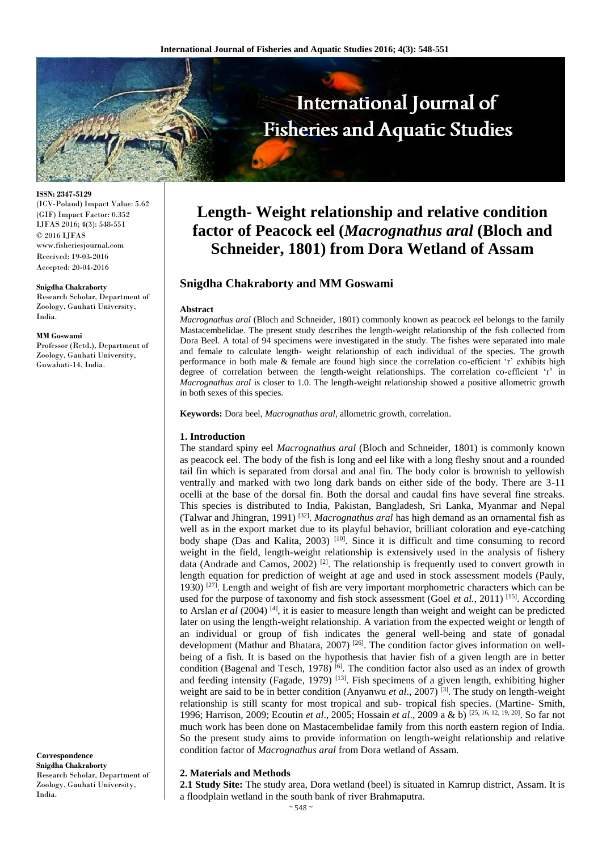

**ISSN: 2347-5129** (ICV-Poland) Impact Value: 5.62 (GIF) Impact Factor: 0.352 IJFAS 2016; 4(3): 548-551 © 2016 IJFAS www.fisheriesjournal.com Received: 19-03-2016 Accepted: 20-04-2016

#### **Snigdha Chakraborty**

Research Scholar, Department of Zoology, Gauhati University, India.

#### **MM Goswami**

Professor (Retd.), Department of Zoology, Gauhati University, Guwahati-14, India.

**Correspondence Snigdha Chakraborty**  Research Scholar, Department of Zoology, Gauhati University, India.

# **Length- Weight relationship and relative condition factor of Peacock eel (***Macrognathus aral* **(Bloch and Schneider, 1801) from Dora Wetland of Assam**

## **Snigdha Chakraborty and MM Goswami**

#### **Abstract**

*Macrognathus aral* (Bloch and Schneider, 1801) commonly known as peacock eel belongs to the family Mastacembelidae. The present study describes the length-weight relationship of the fish collected from Dora Beel. A total of 94 specimens were investigated in the study. The fishes were separated into male and female to calculate length- weight relationship of each individual of the species. The growth performance in both male & female are found high since the correlation co-efficient 'r' exhibits high degree of correlation between the length-weight relationships. The correlation co-efficient 'r' in *Macrognathus aral* is closer to 1.0. The length-weight relationship showed a positive allometric growth in both sexes of this species.

**Keywords:** Dora beel, *Macrognathus aral,* allometric growth, correlation.

## **1. Introduction**

The standard spiny eel *Macrognathus aral* (Bloch and Schneider, 1801) is commonly known as peacock eel. The body of the fish is long and eel like with a long fleshy snout and a rounded tail fin which is separated from dorsal and anal fin. The body color is brownish to yellowish ventrally and marked with two long dark bands on either side of the body. There are 3-11 ocelli at the base of the dorsal fin. Both the dorsal and caudal fins have several fine streaks. This species is distributed to India, Pakistan, Bangladesh, Sri Lanka, Myanmar and Nepal (Talwar and Jhingran, 1991) [32] . *Macrognathus aral* has high demand as an ornamental fish as well as in the export market due to its playful behavior, brilliant coloration and eye-catching body shape (Das and Kalita, 2003)<sup>[10]</sup>. Since it is difficult and time consuming to record weight in the field, length-weight relationship is extensively used in the analysis of fishery data (Andrade and Camos, 2002)<sup>[2]</sup>. The relationship is frequently used to convert growth in length equation for prediction of weight at age and used in stock assessment models (Pauly, 1930)<sup>[27]</sup>. Length and weight of fish are very important morphometric characters which can be used for the purpose of taxonomy and fish stock assessment (Goel *et al.*, 2011)<sup>[15]</sup>. According to Arslan *et al* (2004)<sup>[4]</sup>, it is easier to measure length than weight and weight can be predicted later on using the length-weight relationship. A variation from the expected weight or length of an individual or group of fish indicates the general well-being and state of gonadal development (Mathur and Bhatara, 2007)<sup>[26]</sup>. The condition factor gives information on wellbeing of a fish. It is based on the hypothesis that havier fish of a given length are in better condition (Bagenal and Tesch, 1978)<sup>[6]</sup>. The condition factor also used as an index of growth and feeding intensity (Fagade, 1979)<sup>[13]</sup>. Fish specimens of a given length, exhibiting higher weight are said to be in better condition (Anyanwu et al., 2007)<sup>[3]</sup>. The study on length-weight relationship is still scanty for most tropical and sub- tropical fish species. (Martine- Smith, 1996; Harrison, 2009; Ecoutin *et al*., 2005; Hossain *et al*., 2009 a & b) [25, 16, 12, 19, 20] . So far not much work has been done on Mastacembelidae family from this north eastern region of India. So the present study aims to provide information on length-weight relationship and relative condition factor of *Macrognathus aral* from Dora wetland of Assam.

#### **2. Materials and Methods**

**2.1 Study Site:** The study area, Dora wetland (beel) is situated in Kamrup district, Assam. It is a floodplain wetland in the south bank of river Brahmaputra.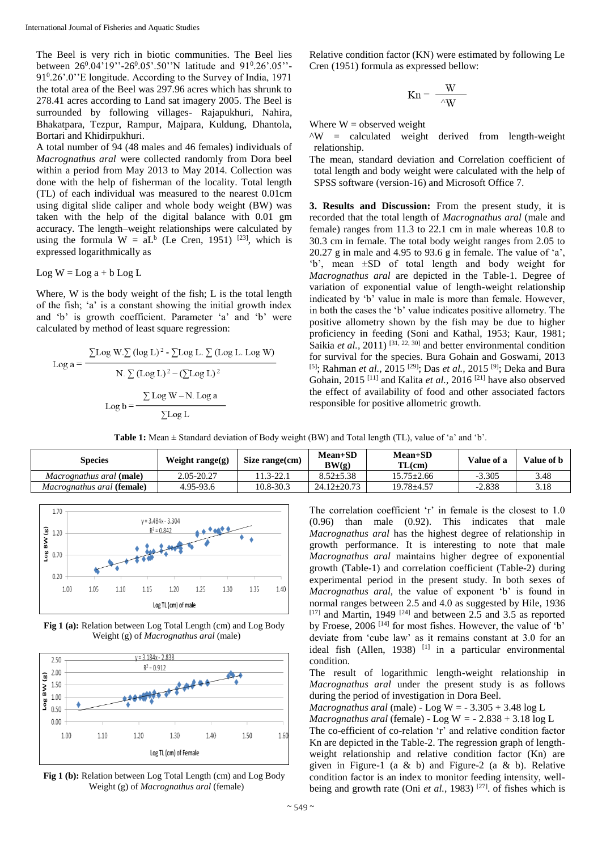The Beel is very rich in biotic communities. The Beel lies between 26<sup>0</sup>.04'19''-26<sup>0</sup>.05'.50''N latitude and 91<sup>0</sup>.26'.05''-91<sup>0</sup> .26'.0''E longitude. According to the Survey of India, 1971 the total area of the Beel was 297.96 acres which has shrunk to 278.41 acres according to Land sat imagery 2005. The Beel is surrounded by following villages- Rajapukhuri, Nahira, Bhakatpara, Tezpur, Rampur, Majpara, Kuldung, Dhantola, Bortari and Khidirpukhuri.

A total number of 94 (48 males and 46 females) individuals of *Macrognathus aral* were collected randomly from Dora beel within a period from May 2013 to May 2014. Collection was done with the help of fisherman of the locality. Total length (TL) of each individual was measured to the nearest 0.01cm using digital slide caliper and whole body weight (BW) was taken with the help of the digital balance with 0.01 gm accuracy. The length–weight relationships were calculated by using the formula  $W = aL<sup>b</sup>$  (Le Cren, 1951) <sup>[23]</sup>, which is expressed logarithmically as

 $Log W = Log a + b Log L$ 

Where, W is the body weight of the fish; L is the total length of the fish; 'a' is a constant showing the initial growth index and 'b' is growth coefficient. Parameter 'a' and 'b' were calculated by method of least square regression:

$$
Log a = \frac{\sum Log W . \sum (log L)^{2} - \sum Log L . \sum (Log L. Log W)}{N . \sum (Log L)^{2} - (\sum Log L)^{2}}
$$

$$
Log b = \frac{\sum Log W - N . Log a}{\sum Log L}
$$

Relative condition factor (KN) were estimated by following Le Cren (1951) formula as expressed bellow:

$$
Kn = \frac{W}{\sqrt{W}}
$$

Where  $W =$  observed weight

 $\Delta W$  = calculated weight derived from length-weight relationship.

The mean, standard deviation and Correlation coefficient of total length and body weight were calculated with the help of SPSS software (version-16) and Microsoft Office 7.

**3. Results and Discussion:** From the present study, it is recorded that the total length of *Macrognathus aral* (male and female) ranges from 11.3 to 22.1 cm in male whereas 10.8 to 30.3 cm in female. The total body weight ranges from 2.05 to 20.27 g in male and 4.95 to 93.6 g in female. The value of 'a', 'b', mean ±SD of total length and body weight for *Macrognathus aral* are depicted in the Table-1. Degree of variation of exponential value of length-weight relationship indicated by 'b' value in male is more than female. However, in both the cases the 'b' value indicates positive allometry. The positive allometry shown by the fish may be due to higher proficiency in feeding (Soni and Kathal, 1953; Kaur, 1981; Saikia *et al.*, 2011)<sup>[31, 22, 30] and better environmental condition</sup> for survival for the species. Bura Gohain and Goswami, 2013 <sup>[5]</sup>; Rahman *et al.*, 2015<sup>[29]</sup>; Das *et al.*, 2015<sup>[9]</sup>; Deka and Bura Gohain, 2015<sup>[11]</sup> and Kalita *et al.*, 2016<sup>[21]</sup> have also observed the effect of availability of food and other associated factors responsible for positive allometric growth.

**Table 1:** Mean ± Standard deviation of Body weight (BW) and Total length (TL), value of 'a' and 'b'.

| <b>Species</b>                           | Weight range $(g)$ | Size range(cm) | $Mean+SD$<br>BW(g) | <b>Mean+SD</b><br>TL(cm) | Value of a | Value of <b>b</b> |
|------------------------------------------|--------------------|----------------|--------------------|--------------------------|------------|-------------------|
| <i>Macrognathus aral</i> ( <b>male</b> ) | 2.05-20.27         | 11.3-22.1      | $8.52 \pm 5.38$    | 15.75±2.66               | $-3.305$   | 3.48              |
| Macrognathus aral (female)               | 4.95-93.6          | 10.8-30.3      | $24.12 \pm 20.73$  | $19.78 \pm 4.57$         | $-2.838$   | 3.18              |



**Fig 1 (a):** Relation between Log Total Length (cm) and Log Body Weight (g) of *Macrognathus aral* (male)



**Fig 1 (b):** Relation between Log Total Length (cm) and Log Body Weight (g) of *Macrognathus aral* (female)

The correlation coefficient 'r' in female is the closest to 1.0 (0.96) than male (0.92). This indicates that male *Macrognathus aral* has the highest degree of relationship in growth performance. It is interesting to note that male *Macrognathus aral* maintains higher degree of exponential growth (Table-1) and correlation coefficient (Table-2) during experimental period in the present study. In both sexes of *Macrognathus aral,* the value of exponent 'b' is found in normal ranges between 2.5 and 4.0 as suggested by Hile, 1936  $[17]$  and Martin, 1949  $[24]$  and between 2.5 and 3.5 as reported by Froese, 2006<sup>[14]</sup> for most fishes. However, the value of 'b' deviate from 'cube law' as it remains constant at 3.0 for an ideal fish (Allen, 1938) <sup>[1]</sup> in a particular environmental condition.

The result of logarithmic length-weight relationship in *Macrognathus aral* under the present study is as follows during the period of investigation in Dora Beel.

*Macrognathus aral* (male) - Log W =  $-3.305 + 3.48 \log L$ 

*Macrognathus aral* (female)  $-$  Log W =  $-$  2.838  $+$  3.18 log L

The co-efficient of co-relation 'r' and relative condition factor Kn are depicted in the Table-2. The regression graph of lengthweight relationship and relative condition factor (Kn) are given in Figure-1 (a & b) and Figure-2 (a & b). Relative condition factor is an index to monitor feeding intensity, wellbeing and growth rate (Oni *et al.*, 1983)<sup>[27]</sup>. of fishes which is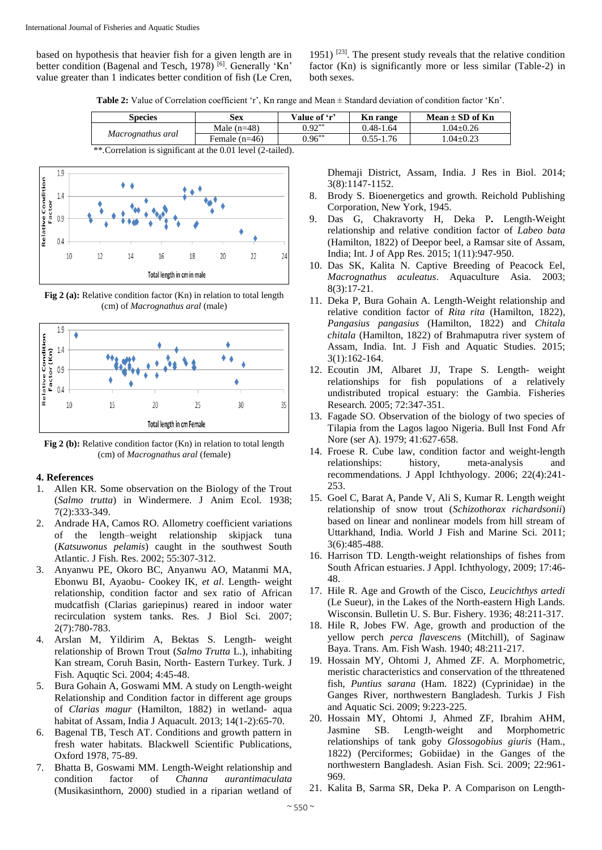based on hypothesis that heavier fish for a given length are in better condition (Bagenal and Tesch, 1978)<sup>[6]</sup>. Generally 'Kn' value greater than 1 indicates better condition of fish (Le Cren,

1951)  $[23]$ . The present study reveals that the relative condition factor (Kn) is significantly more or less similar (Table-2) in both sexes.

**Table 2:** Value of Correlation coefficient 'r', Kn range and Mean ± Standard deviation of condition factor 'Kn'.

| <b>Species</b>    | Sex             | Value of 'r'      | Kn range      | Mean $\pm$ SD of Kn |
|-------------------|-----------------|-------------------|---------------|---------------------|
| Macrognathus aral | Male $(n=48)$   | $0.92^{\ast\ast}$ | $0.48 - 1.64$ | $1.04 + 0.26$       |
|                   | Female $(n=46)$ | $0.96^{\ast\ast}$ | $0.55 - 1.76$ | $0.04 \pm 0.23$     |

\*\*.Correlation is significant at the 0.01 level (2-tailed).



**Fig 2 (a):** Relative condition factor (Kn) in relation to total length (cm) of *Macrognathus aral* (male)



**Fig 2 (b):** Relative condition factor (Kn) in relation to total length (cm) of *Macrognathus aral* (female)

## **4. References**

- 1. Allen KR. Some observation on the Biology of the Trout (*Salmo trutta*) in Windermere. J Anim Ecol*.* 1938; 7(2):333-349.
- 2. Andrade HA, Camos RO. Allometry coefficient variations of the length–weight relationship skipjack tuna (*Katsuwonus pelamis*) caught in the southwest South Atlantic. J Fish. Res. 2002; 55:307-312.
- 3. Anyanwu PE, Okoro BC, Anyanwu AO, Matanmi MA, Ebonwu BI, Ayaobu- Cookey IK, *et al*. Length- weight relationship, condition factor and sex ratio of African mudcatfish (Clarias gariepinus) reared in indoor water recirculation system tanks. Res. J Biol Sci. 2007; 2(7):780-783.
- 4. Arslan M, Yildirim A, Bektas S. Length- weight relationship of Brown Trout (*Salmo Trutta* L.), inhabiting Kan stream, Coruh Basin, North- Eastern Turkey. Turk. J Fish. Aquqtic Sci. 2004; 4:45-48.
- 5. Bura Gohain A, Goswami MM. A study on Length-weight Relationship and Condition factor in different age groups of *Clarias magur* (Hamilton, 1882) in wetland- aqua habitat of Assam, India J Aquacult. 2013; 14(1-2):65-70.
- 6. Bagenal TB, Tesch AT. Conditions and growth pattern in fresh water habitats. Blackwell Scientific Publications, Oxford 1978, 75-89.
- 7. Bhatta B, Goswami MM. Length-Weight relationship and condition factor of *Channa aurantimaculata*  (Musikasinthorn, 2000) studied in a riparian wetland of

Dhemaji District, Assam, India. J Res in Biol*.* 2014; 3(8):1147-1152.

- 8. Brody S. Bioenergetics and growth. Reichold Publishing Corporation, New York, 1945.
- 9. Das G, Chakravorty H, Deka P**.** Length-Weight relationship and relative condition factor of *Labeo bata*  (Hamilton, 1822) of Deepor beel, a Ramsar site of Assam, India; Int. J of App Res. 2015; 1(11):947-950.
- 10. Das SK, Kalita N. Captive Breeding of Peacock Eel, *Macrognathus aculeatus*. Aquaculture Asia*.* 2003; 8(3):17-21.
- 11. Deka P, Bura Gohain A. Length-Weight relationship and relative condition factor of *Rita rita* (Hamilton, 1822)*, Pangasius pangasius* (Hamilton, 1822) and *Chitala chitala* (Hamilton, 1822) of Brahmaputra river system of Assam, India. Int. J Fish and Aquatic Studies*.* 2015; 3(1):162-164.
- 12. Ecoutin JM, Albaret JJ, Trape S. Length- weight relationships for fish populations of a relatively undistributed tropical estuary: the Gambia. Fisheries Research*.* 2005; 72:347-351.
- 13. Fagade SO. Observation of the biology of two species of Tilapia from the Lagos lagoo Nigeria. Bull Inst Fond Afr Nore (ser A). 1979; 41:627-658.
- 14. Froese R. Cube law, condition factor and weight-length relationships: history, meta-analysis and recommendations*.* J Appl Ichthyology. 2006; 22(4):241- 253.
- 15. Goel C, Barat A, Pande V, Ali S, Kumar R. Length weight relationship of snow trout (*Schizothorax richardsonii*) based on linear and nonlinear models from hill stream of Uttarkhand, India*.* World J Fish and Marine Sci*.* 2011; 3(6):485-488.
- 16. Harrison TD. Length-weight relationships of fishes from South African estuaries. J Appl*.* Ichthyology, 2009; 17:46- 48.
- 17. Hile R. Age and Growth of the Cisco, *Leucichthys artedi*  (Le Sueur), in the Lakes of the North-eastern High Lands. Wisconsin. Bulletin U. S. Bur. Fishery. 1936; 48:211-317.
- 18. Hile R, Jobes FW. Age, growth and production of the yellow perch *perca flavescen*s (Mitchill), of Saginaw Baya. Trans. Am. Fish Wash. 1940; 48:211-217.
- 19. Hossain MY, Ohtomi J, Ahmed ZF. A. Morphometric, meristic characteristics and conservation of the tthreatened fish, *Puntius sarana* (Ham. 1822) (Cyprinidae) in the Ganges River, northwestern Bangladesh. Turkis J Fish and Aquatic Sci. 2009; 9:223-225.
- 20. Hossain MY, Ohtomi J, Ahmed ZF, Ibrahim AHM, Jasmine SB. Length-weight and Morphometric relationships of tank goby *Glossogobius giuris* (Ham., 1822) (Perciformes; Gobiidae) in the Ganges of the northwestern Bangladesh. Asian Fish. Sci*.* 2009; 22:961- 969.
- 21. Kalita B, Sarma SR, Deka P. A Comparison on Length-